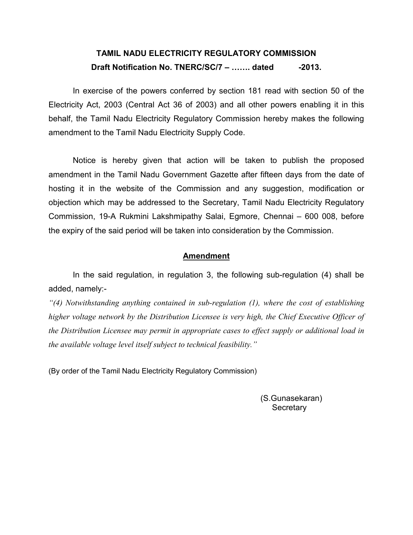## TAMIL NADU ELECTRICITY REGULATORY COMMISSION Draft Notification No. TNERC/SC/7 – ....... dated -2013.

In exercise of the powers conferred by section 181 read with section 50 of the Electricity Act, 2003 (Central Act 36 of 2003) and all other powers enabling it in this behalf, the Tamil Nadu Electricity Regulatory Commission hereby makes the following amendment to the Tamil Nadu Electricity Supply Code.

Notice is hereby given that action will be taken to publish the proposed amendment in the Tamil Nadu Government Gazette after fifteen days from the date of hosting it in the website of the Commission and any suggestion, modification or objection which may be addressed to the Secretary, Tamil Nadu Electricity Regulatory Commission, 19-A Rukmini Lakshmipathy Salai, Egmore, Chennai – 600 008, before the expiry of the said period will be taken into consideration by the Commission.

## Amendment

 In the said regulation, in regulation 3, the following sub-regulation (4) shall be added, namely:-

 $\mathcal{H}(4)$  Notwithstanding anything contained in sub-regulation (1), where the cost of establishing higher voltage network by the Distribution Licensee is very high, the Chief Executive Officer of the Distribution Licensee may permit in appropriate cases to effect supply or additional load in the available voltage level itself subject to technical feasibility."

(By order of the Tamil Nadu Electricity Regulatory Commission)

(S.Gunasekaran) **Secretary**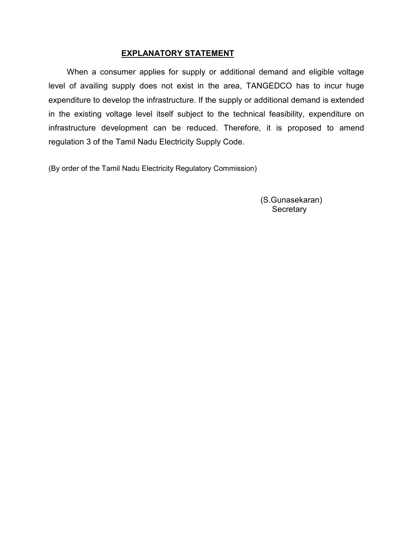## EXPLANATORY STATEMENT

 When a consumer applies for supply or additional demand and eligible voltage level of availing supply does not exist in the area, TANGEDCO has to incur huge expenditure to develop the infrastructure. If the supply or additional demand is extended in the existing voltage level itself subject to the technical feasibility, expenditure on infrastructure development can be reduced. Therefore, it is proposed to amend regulation 3 of the Tamil Nadu Electricity Supply Code.

(By order of the Tamil Nadu Electricity Regulatory Commission)

(S.Gunasekaran) **Secretary**